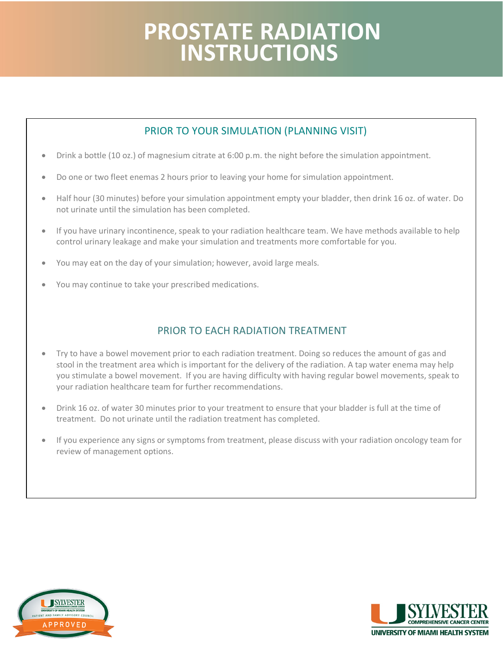## **PROSTATE RADIATION INSTRUCTIONS**

## PRIOR TO YOUR SIMULATION (PLANNING VISIT)

- Drink a bottle (10 oz.) of magnesium citrate at 6:00 p.m. the night before the simulation appointment.
- Do one or two fleet enemas 2 hours prior to leaving your home for simulation appointment.
- • Half hour (30 minutes) before your simulation appointment empty your bladder, then drink 16 oz. of water. Do not urinate until the simulation has been completed.
- control urinary leakage and make your simulation and treatments more comfortable for you. • If you have urinary incontinence, speak to your radiation healthcare team. We have methods available to help
- You may eat on the day of your simulation; however, avoid large meals.
- You may continue to take your prescribed medications.

## PRIOR TO EACH RADIATION TREATMENT

- Try to have a bowel movement prior to each radiation treatment. Doing so reduces the amount of gas and stool in the treatment area which is important for the delivery of the radiation. A tap water enema may help you stimulate a bowel movement. If you are having difficulty with having regular bowel movements, speak to your radiation healthcare team for further recommendations.
- treatment. Do not urinate until the radiation treatment has completed. • Drink 16 oz. of water 30 minutes prior to your treatment to ensure that your bladder is full at the time of
- review of management options. • If you experience any signs or symptoms from treatment, please discuss with your radiation oncology team for